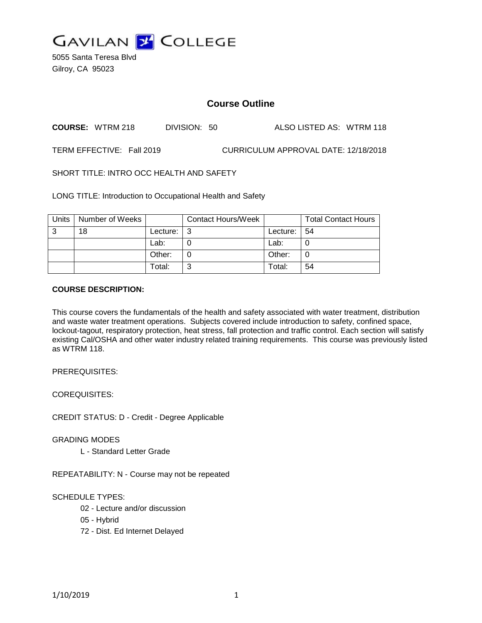

5055 Santa Teresa Blvd Gilroy, CA 95023

# **Course Outline**

**COURSE:** WTRM 218 DIVISION: 50 ALSO LISTED AS: WTRM 118

TERM EFFECTIVE: Fall 2019 CURRICULUM APPROVAL DATE: 12/18/2018

SHORT TITLE: INTRO OCC HEALTH AND SAFETY

LONG TITLE: Introduction to Occupational Health and Safety

| Units | Number of Weeks |          | <b>Contact Hours/Week</b> |          | <b>Total Contact Hours</b> |
|-------|-----------------|----------|---------------------------|----------|----------------------------|
| 3     | 18              | Lecture: | l 3                       | Lecture: | -54                        |
|       |                 | Lab:     |                           | Lab:     |                            |
|       |                 | Other:   |                           | Other:   |                            |
|       |                 | Total:   | ⌒                         | Total:   | 54                         |

# **COURSE DESCRIPTION:**

This course covers the fundamentals of the health and safety associated with water treatment, distribution and waste water treatment operations. Subjects covered include introduction to safety, confined space, lockout-tagout, respiratory protection, heat stress, fall protection and traffic control. Each section will satisfy existing Cal/OSHA and other water industry related training requirements. This course was previously listed as WTRM 118.

PREREQUISITES:

COREQUISITES:

CREDIT STATUS: D - Credit - Degree Applicable

GRADING MODES

L - Standard Letter Grade

REPEATABILITY: N - Course may not be repeated

SCHEDULE TYPES:

02 - Lecture and/or discussion

- 05 Hybrid
- 72 Dist. Ed Internet Delayed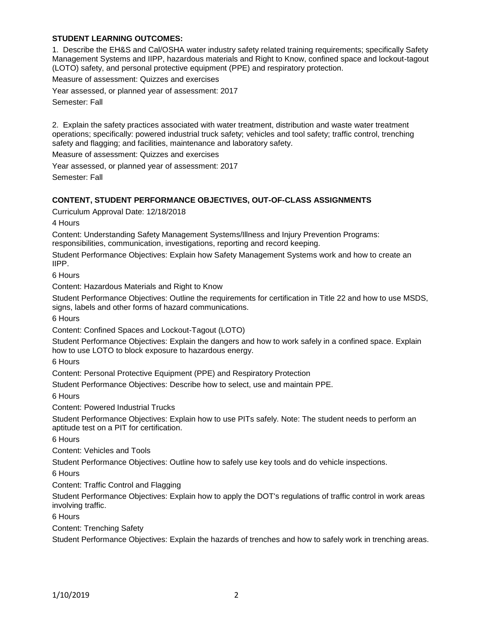# **STUDENT LEARNING OUTCOMES:**

1. Describe the EH&S and Cal/OSHA water industry safety related training requirements; specifically Safety Management Systems and IIPP, hazardous materials and Right to Know, confined space and lockout-tagout (LOTO) safety, and personal protective equipment (PPE) and respiratory protection.

Measure of assessment: Quizzes and exercises

Year assessed, or planned year of assessment: 2017 Semester: Fall

2. Explain the safety practices associated with water treatment, distribution and waste water treatment operations; specifically: powered industrial truck safety; vehicles and tool safety; traffic control, trenching safety and flagging; and facilities, maintenance and laboratory safety.

Measure of assessment: Quizzes and exercises

Year assessed, or planned year of assessment: 2017

Semester: Fall

#### **CONTENT, STUDENT PERFORMANCE OBJECTIVES, OUT-OF-CLASS ASSIGNMENTS**

Curriculum Approval Date: 12/18/2018

4 Hours

Content: Understanding Safety Management Systems/Illness and Injury Prevention Programs: responsibilities, communication, investigations, reporting and record keeping.

Student Performance Objectives: Explain how Safety Management Systems work and how to create an IIPP.

6 Hours

Content: Hazardous Materials and Right to Know

Student Performance Objectives: Outline the requirements for certification in Title 22 and how to use MSDS, signs, labels and other forms of hazard communications.

6 Hours

Content: Confined Spaces and Lockout-Tagout (LOTO)

Student Performance Objectives: Explain the dangers and how to work safely in a confined space. Explain how to use LOTO to block exposure to hazardous energy.

6 Hours

Content: Personal Protective Equipment (PPE) and Respiratory Protection

Student Performance Objectives: Describe how to select, use and maintain PPE.

6 Hours

Content: Powered Industrial Trucks

Student Performance Objectives: Explain how to use PITs safely. Note: The student needs to perform an aptitude test on a PIT for certification.

6 Hours

Content: Vehicles and Tools

Student Performance Objectives: Outline how to safely use key tools and do vehicle inspections.

6 Hours

Content: Traffic Control and Flagging

Student Performance Objectives: Explain how to apply the DOT's regulations of traffic control in work areas involving traffic.

6 Hours

Content: Trenching Safety

Student Performance Objectives: Explain the hazards of trenches and how to safely work in trenching areas.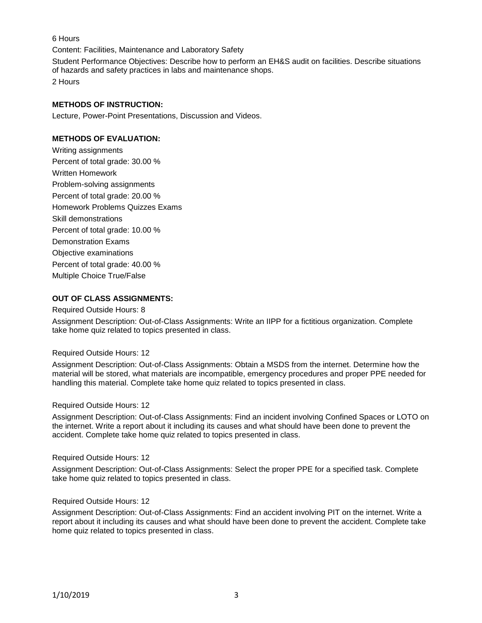6 Hours

Content: Facilities, Maintenance and Laboratory Safety

Student Performance Objectives: Describe how to perform an EH&S audit on facilities. Describe situations of hazards and safety practices in labs and maintenance shops. 2 Hours

#### **METHODS OF INSTRUCTION:**

Lecture, Power-Point Presentations, Discussion and Videos.

### **METHODS OF EVALUATION:**

Writing assignments Percent of total grade: 30.00 % Written Homework Problem-solving assignments Percent of total grade: 20.00 % Homework Problems Quizzes Exams Skill demonstrations Percent of total grade: 10.00 % Demonstration Exams Objective examinations Percent of total grade: 40.00 % Multiple Choice True/False

# **OUT OF CLASS ASSIGNMENTS:**

#### Required Outside Hours: 8

Assignment Description: Out-of-Class Assignments: Write an IIPP for a fictitious organization. Complete take home quiz related to topics presented in class.

#### Required Outside Hours: 12

Assignment Description: Out-of-Class Assignments: Obtain a MSDS from the internet. Determine how the material will be stored, what materials are incompatible, emergency procedures and proper PPE needed for handling this material. Complete take home quiz related to topics presented in class.

#### Required Outside Hours: 12

Assignment Description: Out-of-Class Assignments: Find an incident involving Confined Spaces or LOTO on the internet. Write a report about it including its causes and what should have been done to prevent the accident. Complete take home quiz related to topics presented in class.

#### Required Outside Hours: 12

Assignment Description: Out-of-Class Assignments: Select the proper PPE for a specified task. Complete take home quiz related to topics presented in class.

#### Required Outside Hours: 12

Assignment Description: Out-of-Class Assignments: Find an accident involving PIT on the internet. Write a report about it including its causes and what should have been done to prevent the accident. Complete take home quiz related to topics presented in class.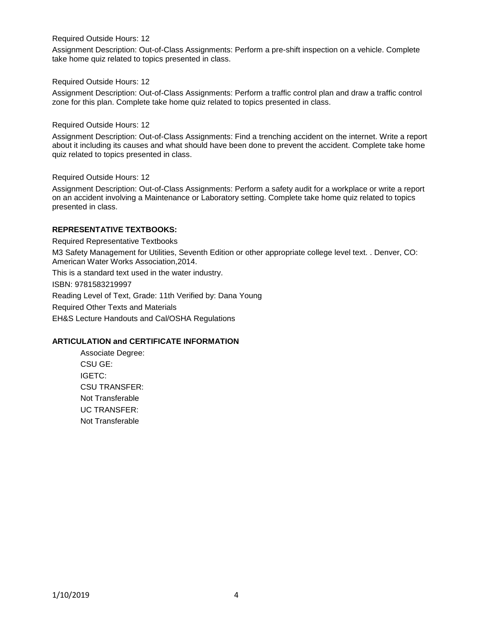### Required Outside Hours: 12

Assignment Description: Out-of-Class Assignments: Perform a pre-shift inspection on a vehicle. Complete take home quiz related to topics presented in class.

#### Required Outside Hours: 12

Assignment Description: Out-of-Class Assignments: Perform a traffic control plan and draw a traffic control zone for this plan. Complete take home quiz related to topics presented in class.

### Required Outside Hours: 12

Assignment Description: Out-of-Class Assignments: Find a trenching accident on the internet. Write a report about it including its causes and what should have been done to prevent the accident. Complete take home quiz related to topics presented in class.

### Required Outside Hours: 12

Assignment Description: Out-of-Class Assignments: Perform a safety audit for a workplace or write a report on an accident involving a Maintenance or Laboratory setting. Complete take home quiz related to topics presented in class.

# **REPRESENTATIVE TEXTBOOKS:**

Required Representative Textbooks

M3 Safety Management for Utilities, Seventh Edition or other appropriate college level text. . Denver, CO: American Water Works Association,2014.

This is a standard text used in the water industry.

ISBN: 9781583219997

Reading Level of Text, Grade: 11th Verified by: Dana Young

Required Other Texts and Materials

EH&S Lecture Handouts and Cal/OSHA Regulations

# **ARTICULATION and CERTIFICATE INFORMATION**

Associate Degree: CSU GE: IGETC: CSU TRANSFER: Not Transferable UC TRANSFER: Not Transferable